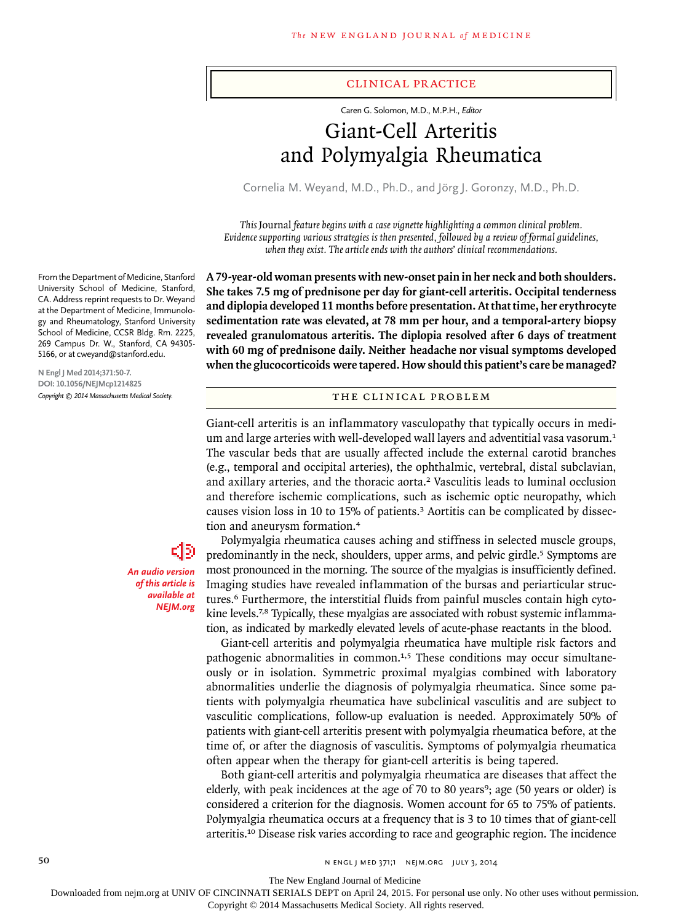#### clinical practice

Caren G. Solomon, M.D., M.P.H., *Editor*

# Giant-Cell Arteritis and Polymyalgia Rheumatica

Cornelia M. Weyand, M.D., Ph.D., and Jörg J. Goronzy, M.D., Ph.D.

*This* Journal *feature begins with a case vignette highlighting a common clinical problem. Evidence supporting various strategies is then presented, followed by a review of formal guidelines, when they exist. The article ends with the authors' clinical recommendations.* 

**A 79-year-old woman presents with new-onset pain in her neck and both shoulders. She takes 7.5 mg of prednisone per day for giant-cell arteritis. Occipital tenderness and diplopia developed 11 months before presentation. At that time, her erythrocyte sedimentation rate was elevated, at 78 mm per hour, and a temporal-artery biopsy revealed granulomatous arteritis. The diplopia resolved after 6 days of treatment with 60 mg of prednisone daily. Neither headache nor visual symptoms developed when the glucocorticoids were tapered. How should this patient's care be managed?**

The Clinical Problem

Giant-cell arteritis is an inflammatory vasculopathy that typically occurs in medium and large arteries with well-developed wall layers and adventitial vasa vasorum.<sup>1</sup> The vascular beds that are usually affected include the external carotid branches (e.g., temporal and occipital arteries), the ophthalmic, vertebral, distal subclavian, and axillary arteries, and the thoracic aorta.2 Vasculitis leads to luminal occlusion and therefore ischemic complications, such as ischemic optic neuropathy, which causes vision loss in 10 to 15% of patients.3 Aortitis can be complicated by dissection and aneurysm formation.<sup>4</sup>

Polymyalgia rheumatica causes aching and stiffness in selected muscle groups, predominantly in the neck, shoulders, upper arms, and pelvic girdle.<sup>5</sup> Symptoms are most pronounced in the morning. The source of the myalgias is insufficiently defined. Imaging studies have revealed inflammation of the bursas and periarticular structures.6 Furthermore, the interstitial fluids from painful muscles contain high cytokine levels.<sup>7,8</sup> Typically, these myalgias are associated with robust systemic inflammation, as indicated by markedly elevated levels of acute-phase reactants in the blood.

Giant-cell arteritis and polymyalgia rheumatica have multiple risk factors and pathogenic abnormalities in common.1,5 These conditions may occur simultaneously or in isolation. Symmetric proximal myalgias combined with laboratory abnormalities underlie the diagnosis of polymyalgia rheumatica. Since some patients with polymyalgia rheumatica have subclinical vasculitis and are subject to vasculitic complications, follow-up evaluation is needed. Approximately 50% of patients with giant-cell arteritis present with polymyalgia rheumatica before, at the time of, or after the diagnosis of vasculitis. Symptoms of polymyalgia rheumatica often appear when the therapy for giant-cell arteritis is being tapered.

Both giant-cell arteritis and polymyalgia rheumatica are diseases that affect the elderly, with peak incidences at the age of 70 to 80 years<sup>9</sup>; age (50 years or older) is considered a criterion for the diagnosis. Women account for 65 to 75% of patients. Polymyalgia rheumatica occurs at a frequency that is 3 to 10 times that of giant-cell arteritis.10 Disease risk varies according to race and geographic region. The incidence

From the Department of Medicine, Stanford University School of Medicine, Stanford, CA. Address reprint requests to Dr. Weyand at the Department of Medicine, Immunology and Rheumatology, Stanford University School of Medicine, CCSR Bldg. Rm. 2225, 269 Campus Dr. W., Stanford, CA 94305- 5166, or at cweyand@stanford.edu.

**N Engl J Med 2014;371:50-7. DOI: 10.1056/NEJMcp1214825** *Copyright © 2014 Massachusetts Medical Society.*

> ่สูง *An audio version of this article is available at NEJM.org*

The New England Journal of Medicine

Downloaded from nejm.org at UNIV OF CINCINNATI SERIALS DEPT on April 24, 2015. For personal use only. No other uses without permission.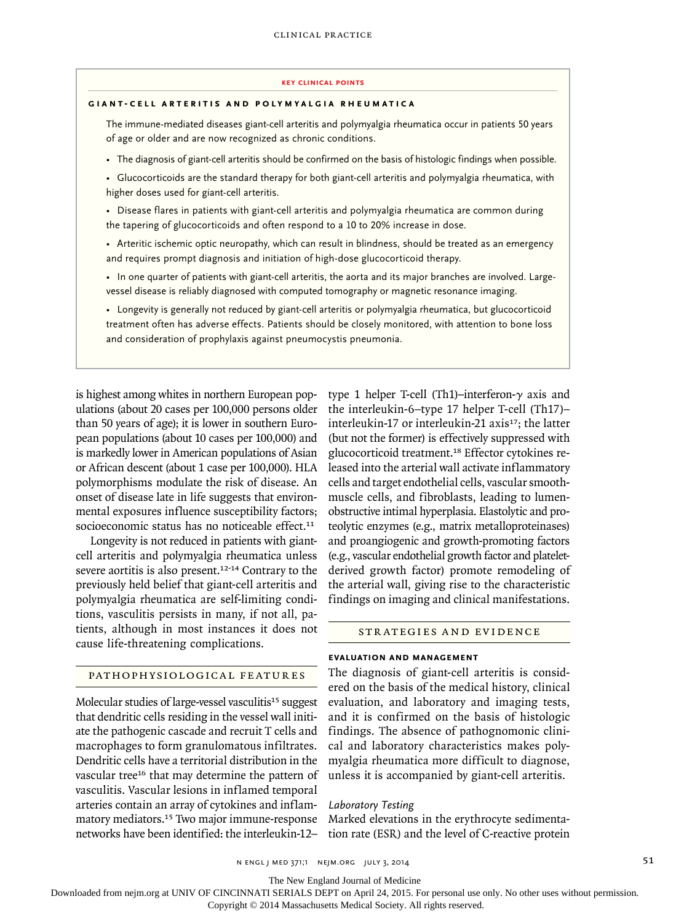#### **key Clinical points**

#### **GIANT-CELL ARTERITIS AND POLYMYALGIA RHEUMATICA**

The immune-mediated diseases giant-cell arteritis and polymyalgia rheumatica occur in patients 50 years of age or older and are now recognized as chronic conditions.

- The diagnosis of giant-cell arteritis should be confirmed on the basis of histologic findings when possible.
- Glucocorticoids are the standard therapy for both giant-cell arteritis and polymyalgia rheumatica, with higher doses used for giant-cell arteritis.
- Disease flares in patients with giant-cell arteritis and polymyalgia rheumatica are common during the tapering of glucocorticoids and often respond to a 10 to 20% increase in dose.
- Arteritic ischemic optic neuropathy, which can result in blindness, should be treated as an emergency and requires prompt diagnosis and initiation of high-dose glucocorticoid therapy.
- In one quarter of patients with giant-cell arteritis, the aorta and its major branches are involved. Largevessel disease is reliably diagnosed with computed tomography or magnetic resonance imaging.
- Longevity is generally not reduced by giant-cell arteritis or polymyalgia rheumatica, but glucocorticoid treatment often has adverse effects. Patients should be closely monitored, with attention to bone loss and consideration of prophylaxis against pneumocystis pneumonia.

is highest among whites in northern European populations (about 20 cases per 100,000 persons older than 50 years of age); it is lower in southern European populations (about 10 cases per 100,000) and is markedly lower in American populations of Asian or African descent (about 1 case per 100,000). HLA polymorphisms modulate the risk of disease. An onset of disease late in life suggests that environmental exposures influence susceptibility factors; socioeconomic status has no noticeable effect.<sup>11</sup>

Longevity is not reduced in patients with giantcell arteritis and polymyalgia rheumatica unless severe aortitis is also present.<sup>12-14</sup> Contrary to the previously held belief that giant-cell arteritis and polymyalgia rheumatica are self-limiting conditions, vasculitis persists in many, if not all, patients, although in most instances it does not cause life-threatening complications.

# interleukin-17 or interleukin-21 axis<sup>17</sup>; the latter (but not the former) is effectively suppressed with glucocorticoid treatment.18 Effector cytokines released into the arterial wall activate inflammatory cells and target endothelial cells, vascular smoothmuscle cells, and fibroblasts, leading to lumenobstructive intimal hyperplasia. Elastolytic and proteolytic enzymes (e.g., matrix metalloproteinases) and proangiogenic and growth-promoting factors (e.g., vascular endothelial growth factor and plateletderived growth factor) promote remodeling of the arterial wall, giving rise to the characteristic findings on imaging and clinical manifestations.

type 1 helper T-cell (Th1)–interferon-γ axis and the interleukin-6–type 17 helper T-cell (Th17)–

# Strategies and Evidence

# **Evaluation and Management**

The diagnosis of giant-cell arteritis is considered on the basis of the medical history, clinical evaluation, and laboratory and imaging tests, and it is confirmed on the basis of histologic findings. The absence of pathognomonic clinical and laboratory characteristics makes polymyalgia rheumatica more difficult to diagnose, unless it is accompanied by giant-cell arteritis.

#### *Laboratory Testing*

Marked elevations in the erythrocyte sedimentation rate (ESR) and the level of C-reactive protein

# Pathophysiological Features

Molecular studies of large-vessel vasculitis<sup>15</sup> suggest that dendritic cells residing in the vessel wall initiate the pathogenic cascade and recruit T cells and macrophages to form granulomatous infiltrates. Dendritic cells have a territorial distribution in the vascular tree<sup>16</sup> that may determine the pattern of vasculitis. Vascular lesions in inflamed temporal arteries contain an array of cytokines and inflammatory mediators.<sup>15</sup> Two major immune-response networks have been identified: the interleukin-12–

n engl j med 371;1 nejm.org july 3, 2014 51

The New England Journal of Medicine

Downloaded from nejm.org at UNIV OF CINCINNATI SERIALS DEPT on April 24, 2015. For personal use only. No other uses without permission.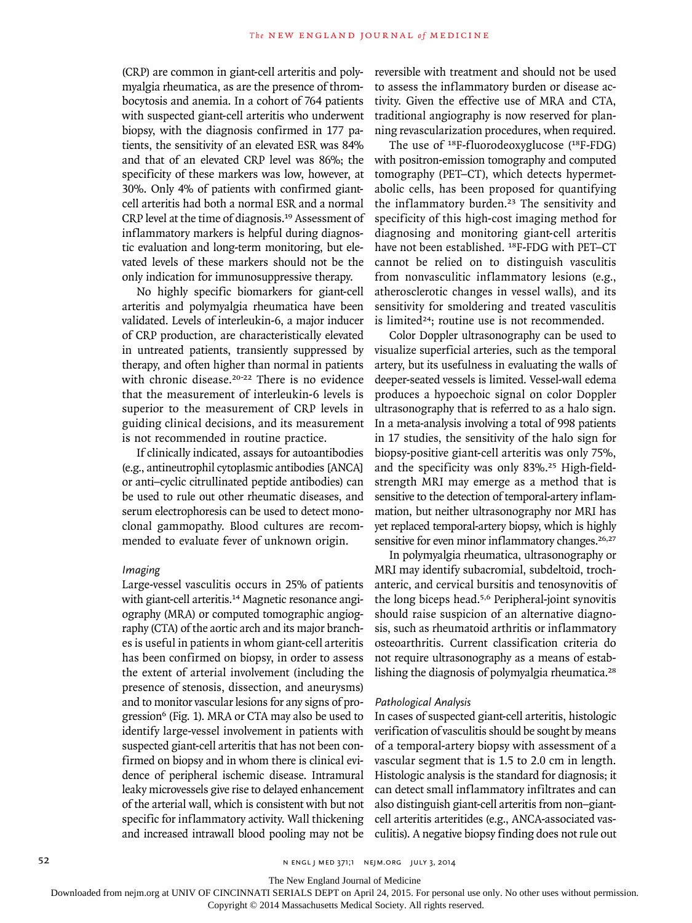(CRP) are common in giant-cell arteritis and polymyalgia rheumatica, as are the presence of thrombocytosis and anemia. In a cohort of 764 patients with suspected giant-cell arteritis who underwent biopsy, with the diagnosis confirmed in 177 patients, the sensitivity of an elevated ESR was 84% and that of an elevated CRP level was 86%; the specificity of these markers was low, however, at 30%. Only 4% of patients with confirmed giantcell arteritis had both a normal ESR and a normal CRP level at the time of diagnosis.<sup>19</sup> Assessment of inflammatory markers is helpful during diagnostic evaluation and long-term monitoring, but elevated levels of these markers should not be the only indication for immunosuppressive therapy.

No highly specific biomarkers for giant-cell arteritis and polymyalgia rheumatica have been validated. Levels of interleukin-6, a major inducer of CRP production, are characteristically elevated in untreated patients, transiently suppressed by therapy, and often higher than normal in patients with chronic disease.20-22 There is no evidence that the measurement of interleukin-6 levels is superior to the measurement of CRP levels in guiding clinical decisions, and its measurement is not recommended in routine practice.

If clinically indicated, assays for autoantibodies (e.g., antineutrophil cytoplasmic antibodies [ANCA] or anti–cyclic citrullinated peptide antibodies) can be used to rule out other rheumatic diseases, and serum electrophoresis can be used to detect monoclonal gammopathy. Blood cultures are recommended to evaluate fever of unknown origin.

#### *Imaging*

Large-vessel vasculitis occurs in 25% of patients with giant-cell arteritis.14 Magnetic resonance angiography (MRA) or computed tomographic angiography (CTA) of the aortic arch and its major branches is useful in patients in whom giant-cell arteritis has been confirmed on biopsy, in order to assess the extent of arterial involvement (including the presence of stenosis, dissection, and aneurysms) and to monitor vascular lesions for any signs of progression<sup>6</sup> (Fig. 1). MRA or CTA may also be used to identify large-vessel involvement in patients with suspected giant-cell arteritis that has not been confirmed on biopsy and in whom there is clinical evidence of peripheral ischemic disease. Intramural leaky microvessels give rise to delayed enhancement of the arterial wall, which is consistent with but not specific for inflammatory activity. Wall thickening and increased intrawall blood pooling may not be

reversible with treatment and should not be used to assess the inflammatory burden or disease activity. Given the effective use of MRA and CTA, traditional angiography is now reserved for planning revascularization procedures, when required.

The use of 18F-fluorodeoxyglucose (18F-FDG) with positron-emission tomography and computed tomography (PET–CT), which detects hypermetabolic cells, has been proposed for quantifying the inflammatory burden.<sup>23</sup> The sensitivity and specificity of this high-cost imaging method for diagnosing and monitoring giant-cell arteritis have not been established. <sup>18</sup>F-FDG with PET-CT cannot be relied on to distinguish vasculitis from nonvasculitic inflammatory lesions (e.g., atherosclerotic changes in vessel walls), and its sensitivity for smoldering and treated vasculitis is limited<sup>24</sup>; routine use is not recommended.

Color Doppler ultrasonography can be used to visualize superficial arteries, such as the temporal artery, but its usefulness in evaluating the walls of deeper-seated vessels is limited. Vessel-wall edema produces a hypoechoic signal on color Doppler ultrasonography that is referred to as a halo sign. In a meta-analysis involving a total of 998 patients in 17 studies, the sensitivity of the halo sign for biopsy-positive giant-cell arteritis was only 75%, and the specificity was only 83%.25 High-fieldstrength MRI may emerge as a method that is sensitive to the detection of temporal-artery inflammation, but neither ultrasonography nor MRI has yet replaced temporal-artery biopsy, which is highly sensitive for even minor inflammatory changes.<sup>26,27</sup>

In polymyalgia rheumatica, ultrasonography or MRI may identify subacromial, subdeltoid, trochanteric, and cervical bursitis and tenosynovitis of the long biceps head.5,6 Peripheral-joint synovitis should raise suspicion of an alternative diagnosis, such as rheumatoid arthritis or inflammatory osteoarthritis. Current classification criteria do not require ultrasonography as a means of establishing the diagnosis of polymyalgia rheumatica.<sup>28</sup>

#### *Pathological Analysis*

In cases of suspected giant-cell arteritis, histologic verification of vasculitis should be sought by means of a temporal-artery biopsy with assessment of a vascular segment that is 1.5 to 2.0 cm in length. Histologic analysis is the standard for diagnosis; it can detect small inflammatory infiltrates and can also distinguish giant-cell arteritis from non–giantcell arteritis arteritides (e.g., ANCA-associated vasculitis). A negative biopsy finding does not rule out

The New England Journal of Medicine

Downloaded from nejm.org at UNIV OF CINCINNATI SERIALS DEPT on April 24, 2015. For personal use only. No other uses without permission.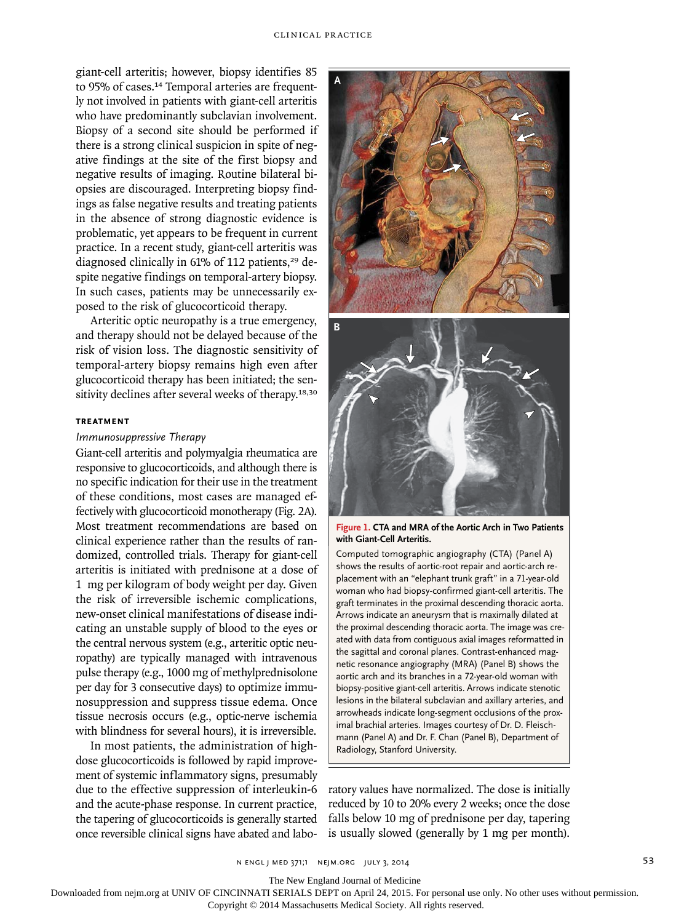giant-cell arteritis; however, biopsy identifies 85 to 95% of cases.<sup>14</sup> Temporal arteries are frequently not involved in patients with giant-cell arteritis who have predominantly subclavian involvement. Biopsy of a second site should be performed if there is a strong clinical suspicion in spite of negative findings at the site of the first biopsy and negative results of imaging. Routine bilateral biopsies are discouraged. Interpreting biopsy findings as false negative results and treating patients in the absence of strong diagnostic evidence is problematic, yet appears to be frequent in current practice. In a recent study, giant-cell arteritis was diagnosed clinically in 61% of 112 patients,<sup>29</sup> despite negative findings on temporal-artery biopsy. In such cases, patients may be unnecessarily exposed to the risk of glucocorticoid therapy.

Arteritic optic neuropathy is a true emergency, and therapy should not be delayed because of the risk of vision loss. The diagnostic sensitivity of temporal-artery biopsy remains high even after glucocorticoid therapy has been initiated; the sensitivity declines after several weeks of therapy.<sup>18,30</sup>

#### **Treatment**

#### *Immunosuppressive Therapy*

Giant-cell arteritis and polymyalgia rheumatica are responsive to glucocorticoids, and although there is no specific indication for their use in the treatment of these conditions, most cases are managed effectively with glucocorticoid monotherapy (Fig. 2A). Most treatment recommendations are based on clinical experience rather than the results of randomized, controlled trials. Therapy for giant-cell arteritis is initiated with prednisone at a dose of 1 mg per kilogram of body weight per day. Given the risk of irreversible is chemic complications, new-onset clinical manifestations of disease indicating an unstable supply of blood to the eyes or the central nervous system (e.g., arteritic optic neuropathy) are typically managed with intravenous pulse therapy (e.g., 1000 mg of methylprednisolone per day for 3 consecutive days) to optimize immunosuppression and suppress tissue edema. Once tissue necrosis occurs (e.g., optic-nerve ischemia with blindness for several hours), it is irreversible.

In most patients, the administration of highdose glucocorticoids is followed by rapid improvement of systemic inflammatory signs, presumably due to the effective suppression of interleukin-6 and the acute-phase response. In current practice, the tapering of glucocorticoids is generally started once reversible clinical signs have abated and labo-





**Figure 1. CTA and MRA of the Aortic Arch in Two Patients with Giant-Cell Arteritis.**

Computed tomographic angiography (CTA) (Panel A) shows the results of aortic-root repair and aortic-arch replacement with an "elephant trunk graft" in a 71-year-old woman who had biopsy-confirmed giant-cell arteritis. The graft terminates in the proximal descending thoracic aorta. Arrows indicate an aneurysm that is maximally dilated at the proximal descending thoracic aorta. The image was created with data from contiguous axial images reformatted in the sagittal and coronal planes. Contrast-enhanced magnetic resonance angiography (MRA) (Panel B) shows the aortic arch and its branches in a 72-year-old woman with biopsy-positive giant-cell arteritis. Arrows indicate stenotic lesions in the bilateral subclavian and axillary arteries, and arrowheads indicate long-segment occlusions of the proximal brachial arteries. Images courtesy of Dr. D. Fleischmann (Panel A) and Dr. F. Chan (Panel B), Department of Radiology, Stanford University.

ratory values have normalized. The dose is initially reduced by 10 to 20% every 2 weeks; once the dose falls below 10 mg of prednisone per day, tapering is usually slowed (generally by 1 mg per month).

N ENGL J MED 371;1 NEJM.ORG JULY 3, 2014

The New England Journal of Medicine

Downloaded from nejm.org at UNIV OF CINCINNATI SERIALS DEPT on April 24, 2015. For personal use only. No other uses without permission.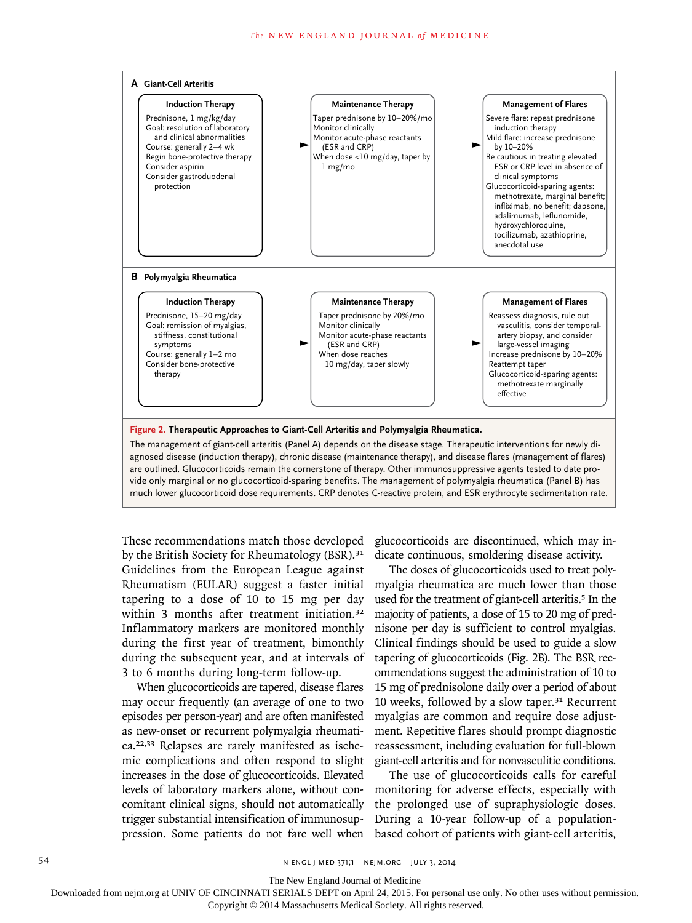

These recommendations match those developed

by the British Society for Rheumatology (BSR).<sup>31</sup> Guidelines from the European League against Rheumatism (EULAR) suggest a faster initial tapering to a dose of 10 to 15 mg per day within 3 months after treatment initiation.<sup>32</sup> Inflammatory markers are monitored monthly during the first year of treatment, bimonthly during the subsequent year, and at intervals of 3 to 6 months during long-term follow-up.

When glucocorticoids are tapered, disease flares may occur frequently (an average of one to two episodes per person-year) and are often manifested as new-onset or recurrent polymyalgia rheumatica.22,33 Relapses are rarely manifested as ischemic complications and often respond to slight increases in the dose of glucocorticoids. Elevated levels of laboratory markers alone, without concomitant clinical signs, should not automatically trigger substantial intensification of immunosuppression. Some patients do not fare well when

glucocorticoids are discontinued, which may indicate continuous, smoldering disease activity.

The doses of glucocorticoids used to treat polymyalgia rheumatica are much lower than those used for the treatment of giant-cell arteritis.<sup>5</sup> In the majority of patients, a dose of 15 to 20 mg of prednisone per day is sufficient to control myalgias. Clinical findings should be used to guide a slow tapering of glucocorticoids (Fig. 2B). The BSR recommendations suggest the administration of 10 to 15 mg of prednisolone daily over a period of about 10 weeks, followed by a slow taper.31 Recurrent myalgias are common and require dose adjustment. Repetitive flares should prompt diagnostic reassessment, including evaluation for full-blown giant-cell arteritis and for nonvasculitic conditions.

The use of glucocorticoids calls for careful monitoring for adverse effects, especially with the prolonged use of supraphysiologic doses. During a 10-year follow-up of a populationbased cohort of patients with giant-cell arteritis,

54 **N ENGL J MED 371;1 NEIM.ORG JULY 3, 2014** 

The New England Journal of Medicine

Downloaded from nejm.org at UNIV OF CINCINNATI SERIALS DEPT on April 24, 2015. For personal use only. No other uses without permission.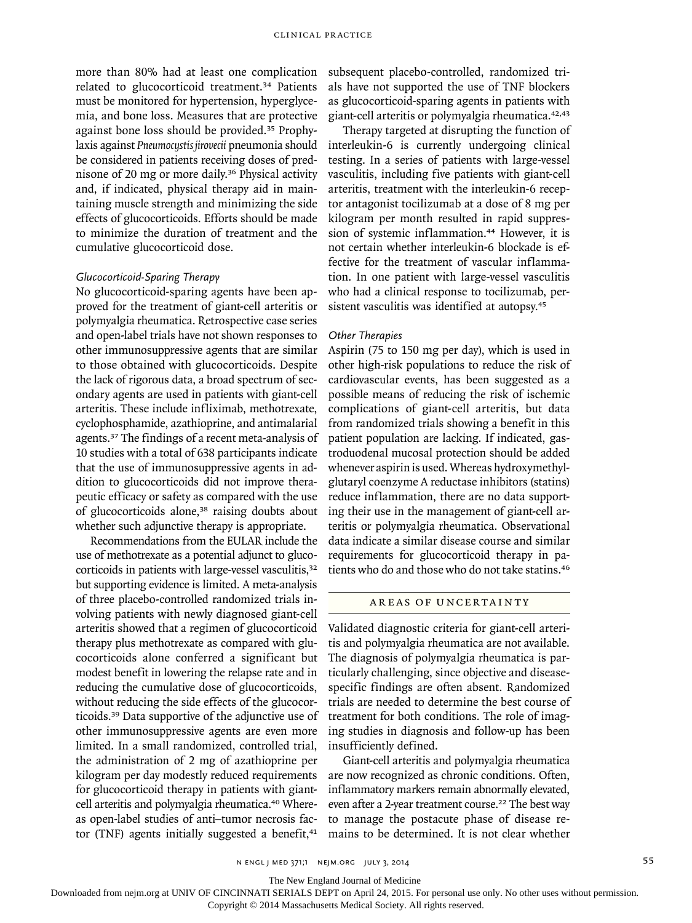more than 80% had at least one complication related to glucocorticoid treatment.34 Patients must be monitored for hypertension, hyperglycemia, and bone loss. Measures that are protective against bone loss should be provided.<sup>35</sup> Prophylaxis against *Pneumocystis jirovecii* pneumonia should be considered in patients receiving doses of prednisone of 20 mg or more daily.36 Physical activity and, if indicated, physical therapy aid in maintaining muscle strength and minimizing the side effects of glucocorticoids. Efforts should be made to minimize the duration of treatment and the cumulative glucocorticoid dose.

# *Glucocorticoid-Sparing Therapy*

No glucocorticoid-sparing agents have been approved for the treatment of giant-cell arteritis or polymyalgia rheumatica. Retrospective case series and open-label trials have not shown responses to other immunosuppressive agents that are similar to those obtained with glucocorticoids. Despite the lack of rigorous data, a broad spectrum of secondary agents are used in patients with giant-cell arteritis. These include infliximab, methotrexate, cyclophosphamide, azathioprine, and antimalarial agents.37 The findings of a recent meta-analysis of 10 studies with a total of 638 participants indicate that the use of immunosuppressive agents in addition to glucocorticoids did not improve therapeutic efficacy or safety as compared with the use of glucocorticoids alone,<sup>38</sup> raising doubts about whether such adjunctive therapy is appropriate.

Recommendations from the EULAR include the use of methotrexate as a potential adjunct to glucocorticoids in patients with large-vessel vasculitis,<sup>32</sup> but supporting evidence is limited. A meta-analysis of three placebo-controlled randomized trials involving patients with newly diagnosed giant-cell arteritis showed that a regimen of glucocorticoid therapy plus methotrexate as compared with glucocorticoids alone conferred a significant but modest benefit in lowering the relapse rate and in reducing the cumulative dose of glucocorticoids, without reducing the side effects of the glucocorticoids.39 Data supportive of the adjunctive use of other immunosuppressive agents are even more limited. In a small randomized, controlled trial, the administration of 2 mg of azathioprine per kilogram per day modestly reduced requirements for glucocorticoid therapy in patients with giantcell arteritis and polymyalgia rheumatica.<sup>40</sup> Whereas open-label studies of anti–tumor necrosis factor (TNF) agents initially suggested a benefit, $41$ 

subsequent placebo-controlled, randomized trials have not supported the use of TNF blockers as glucocorticoid-sparing agents in patients with giant-cell arteritis or polymyalgia rheumatica.42,43

Therapy targeted at disrupting the function of interleukin-6 is currently undergoing clinical testing. In a series of patients with large-vessel vasculitis, including five patients with giant-cell arteritis, treatment with the interleukin-6 receptor antagonist tocilizumab at a dose of 8 mg per kilogram per month resulted in rapid suppression of systemic inflammation.44 However, it is not certain whether interleukin-6 blockade is effective for the treatment of vascular inflammation. In one patient with large-vessel vasculitis who had a clinical response to tocilizumab, persistent vasculitis was identified at autopsy.<sup>45</sup>

#### *Other Therapies*

Aspirin (75 to 150 mg per day), which is used in other high-risk populations to reduce the risk of cardiovascular events, has been suggested as a possible means of reducing the risk of ischemic complications of giant-cell arteritis, but data from randomized trials showing a benefit in this patient population are lacking. If indicated, gastroduodenal mucosal protection should be added whenever aspirin is used. Whereas hydroxymethylglutaryl coenzyme A reductase inhibitors (statins) reduce inflammation, there are no data supporting their use in the management of giant-cell arteritis or polymyalgia rheumatica. Observational data indicate a similar disease course and similar requirements for glucocorticoid therapy in patients who do and those who do not take statins.<sup>46</sup>

# Areas of Uncertainty

Validated diagnostic criteria for giant-cell arteritis and polymyalgia rheumatica are not available. The diagnosis of polymyalgia rheumatica is particularly challenging, since objective and diseasespecific findings are often absent. Randomized trials are needed to determine the best course of treatment for both conditions. The role of imaging studies in diagnosis and follow-up has been insufficiently defined.

Giant-cell arteritis and polymyalgia rheumatica are now recognized as chronic conditions. Often, inflammatory markers remain abnormally elevated, even after a 2-year treatment course.<sup>22</sup> The best way to manage the postacute phase of disease remains to be determined. It is not clear whether

The New England Journal of Medicine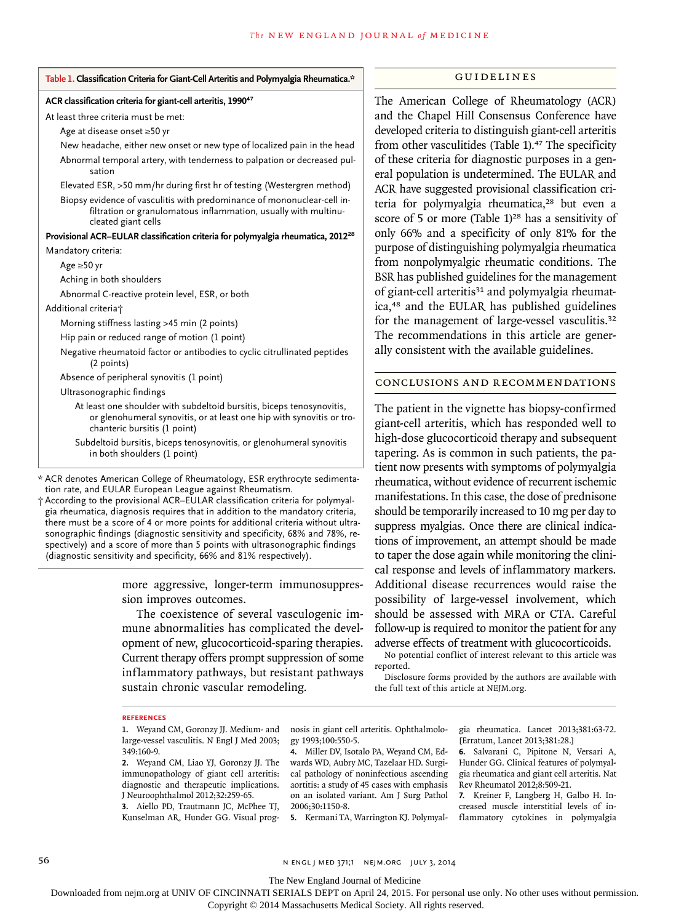#### **Table 1. Classification Criteria for Giant-Cell Arteritis and Polymyalgia Rheumatica.\***

#### **ACR classification criteria for giant-cell arteritis, 1990<sup>47</sup>**

At least three criteria must be met:

Age at disease onset ≥50 yr

New headache, either new onset or new type of localized pain in the head Abnormal temporal artery, with tenderness to palpation or decreased pulsation

Elevated ESR, >50 mm/hr during first hr of testing (Westergren method)

Biopsy evidence of vasculitis with predominance of mononuclear-cell infiltration or granulomatous inflammation, usually with multinucleated giant cells

**Provisional ACR–EULAR classification criteria for polymyalgia rheumatica, 2012<sup>28</sup>** Mandatory criteria:

Age ≥50 yr

Aching in both shoulders

Abnormal C-reactive protein level, ESR, or both

Additional criteria†

Morning stiffness lasting >45 min (2 points)

Hip pain or reduced range of motion (1 point)

Negative rheumatoid factor or antibodies to cyclic citrullinated peptides (2 points)

Absence of peripheral synovitis (1 point)

Ultrasonographic findings

- At least one shoulder with subdeltoid bursitis, biceps tenosynovitis, or glenohumeral synovitis, or at least one hip with synovitis or trochanteric bursitis (1 point)
- Subdeltoid bursitis, biceps tenosynovitis, or glenohumeral synovitis in both shoulders (1 point)

\* ACR denotes American College of Rheumatology, ESR erythrocyte sedimentation rate, and EULAR European League against Rheumatism.

† According to the provisional ACR–EULAR classification criteria for polymyalgia rheumatica, diagnosis requires that in addition to the mandatory criteria, there must be a score of 4 or more points for additional criteria without ultrasonographic findings (diagnostic sensitivity and specificity, 68% and 78%, respectively) and a score of more than 5 points with ultrasonographic findings (diagnostic sensitivity and specificity, 66% and 81% respectively).

> more aggressive, longer-term immunosuppression improves outcomes.

> The coexistence of several vasculogenic immune abnormalities has complicated the development of new, glucocorticoid-sparing therapies. Current therapy offers prompt suppression of some inflammatory pathways, but resistant pathways sustain chronic vascular remodeling.

# Guidelines

The American College of Rheumatology (ACR) and the Chapel Hill Consensus Conference have developed criteria to distinguish giant-cell arteritis from other vasculitides (Table 1).<sup>47</sup> The specificity of these criteria for diagnostic purposes in a general population is undetermined. The EULAR and ACR have suggested provisional classification criteria for polymyalgia rheumatica,<sup>28</sup> but even a score of 5 or more (Table  $1$ )<sup>28</sup> has a sensitivity of only 66% and a specificity of only 81% for the purpose of distinguishing polymyalgia rheumatica from nonpolymyalgic rheumatic conditions. The BSR has published guidelines for the management of giant-cell arteritis<sup>31</sup> and polymyalgia rheumatica,<sup>48</sup> and the EULAR has published guidelines for the management of large-vessel vasculitis.<sup>32</sup> The recommendations in this article are generally consistent with the available guidelines.

## Conclusions and Recommendations

The patient in the vignette has biopsy-confirmed giant-cell arteritis, which has responded well to high-dose glucocorticoid therapy and subsequent tapering. As is common in such patients, the patient now presents with symptoms of polymyalgia rheumatica, without evidence of recurrent ischemic manifestations. In this case, the dose of prednisone should be temporarily increased to 10 mg per day to suppress myalgias. Once there are clinical indications of improvement, an attempt should be made to taper the dose again while monitoring the clinical response and levels of inflammatory markers. Additional disease recurrences would raise the possibility of large-vessel involvement, which should be assessed with MRA or CTA. Careful follow-up is required to monitor the patient for any adverse effects of treatment with glucocorticoids.

No potential conflict of interest relevant to this article was reported.

Disclosure forms provided by the authors are available with the full text of this article at NEJM.org.

#### **References**

**1.** Weyand CM, Goronzy JJ. Medium- and large-vessel vasculitis. N Engl J Med 2003; 349:160-9.

**2.** Weyand CM, Liao YJ, Goronzy JJ. The immunopathology of giant cell arteritis: diagnostic and therapeutic implications. J Neuroophthalmol 2012;32:259-65.

**3.** Aiello PD, Trautmann JC, McPhee TJ, Kunselman AR, Hunder GG. Visual prognosis in giant cell arteritis. Ophthalmology 1993;100:550-5.

**4.** Miller DV, Isotalo PA, Weyand CM, Edwards WD, Aubry MC, Tazelaar HD. Surgical pathology of noninfectious ascending aortitis: a study of 45 cases with emphasis on an isolated variant. Am J Surg Pathol 2006;30:1150-8.

**5.** Kermani TA, Warrington KJ. Polymyal-

gia rheumatica. Lancet 2013;381:63-72. [Erratum, Lancet 2013;381:28.]

**6.** Salvarani C, Pipitone N, Versari A, Hunder GG. Clinical features of polymyalgia rheumatica and giant cell arteritis. Nat Rev Rheumatol 2012;8:509-21.

**7.** Kreiner F, Langberg H, Galbo H. Increased muscle interstitial levels of inflammatory cytokines in polymyalgia

56 **1 Engl j med 371;1 new September 2014** N ENGL J MED 371;1 NEIM.ORG JULY 3, 2014

The New England Journal of Medicine

Downloaded from nejm.org at UNIV OF CINCINNATI SERIALS DEPT on April 24, 2015. For personal use only. No other uses without permission.